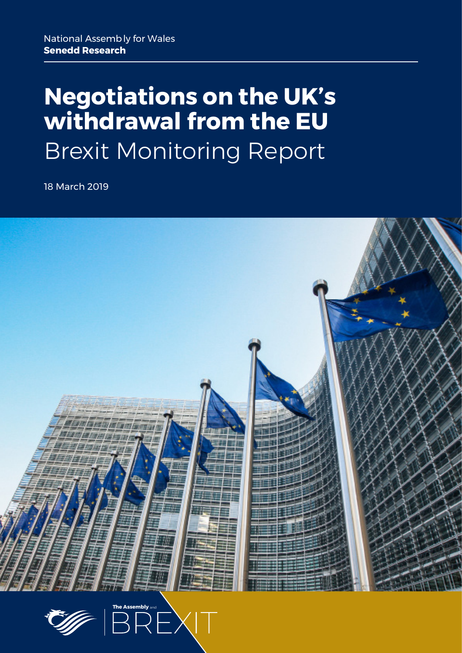# **Negotiations on the UK's withdrawal from the EU** Brexit Monitoring Report

18 March 2019



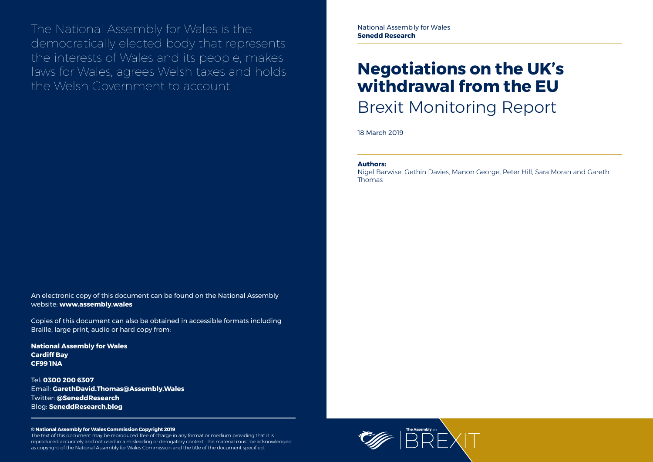

The National Assembly for Wales is the democratically elected body that represents the interests of Wales and its people, makes laws for Wales, agrees Welsh taxes and holds the Welsh Government to account.

#### **© National Assembly for Wales Commission Copyright 2019**

The text of this document may be reproduced free of charge in any format or medium providing that it is reproduced accurately and not used in a misleading or derogatory context. The material must be acknowledged as copyright of the National Assembly for Wales Commission and the title of the document specified.

# **Negotiations on the UK's withdrawal from the EU** Brexit Monitoring Report

18 March 2019

An electronic copy of this document can be found on the National Assembly website: **www.assembly.wales**

Copies of this document can also be obtained in accessible formats including Braille, large print, audio or hard copy from:

**National Assembly for Wales Cardiff Bay CF99 1NA**

Tel: **0300 200 6307** Email: **[GarethDavid.Thomas@Assembly.Wales](mailto:GarethDavid.Thomas%40assembly.wales?subject=)** Twitter: **[@SeneddResearch](http://www.twitter.com/@SeneddResearch)** Blog: **[SeneddResearch.blog](http://SeneddResearch.blog)**

#### **Authors:**

Nigel Barwise, Gethin Davies, Manon George, Peter Hill, Sara Moran and Gareth Thomas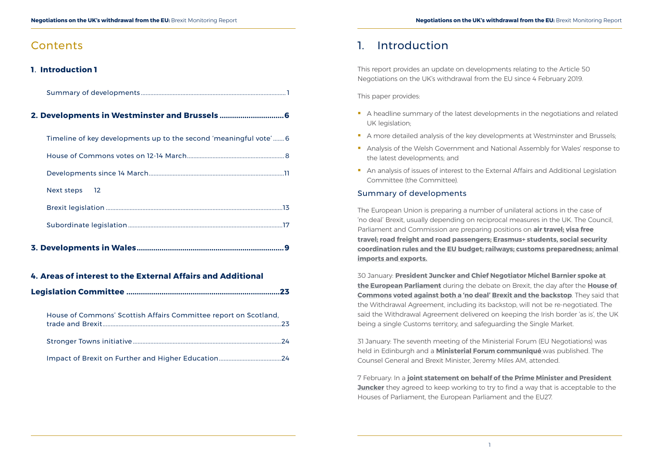## **Contents**

### **<sup>1</sup>**. **Introduction <sup>1</sup>**

Summary of developments ........................................................................................... 1

### **2. [Developments in Westminster and Brussels](#page-5-0) ...............................6**

| Timeline of key developments up to the second 'meaningful vote' 6 |
|-------------------------------------------------------------------|
|                                                                   |
|                                                                   |
| Next steps 12                                                     |
|                                                                   |
|                                                                   |

**3. [Developments in Wales.......................................................................9](#page-11-0)**

#### **4. [Areas of interest to the External Affairs and Additional](#page-13-0)**

- A headline summary of the latest developments in the negotiations and related UK legislation;
- A more detailed analysis of the key developments at Westminster and Brussels;
- **Analysis of the Welsh Government and National Assembly for Wales' response to** the latest developments; and
- **An analysis of issues of interest to the External Affairs and Additional Legislation** Committee (the Committee).

|--|--|

| House of Commons' Scottish Affairs Committee report on Scotland, |  |
|------------------------------------------------------------------|--|
|                                                                  |  |
|                                                                  |  |

# 1. Introduction

This report provides an update on developments relating to the Article 50 Negotiations on the UK's withdrawal from the EU since 4 February 2019.

This paper provides:

#### Summary of developments

The European Union is preparing a number of unilateral actions in the case of 'no deal' Brexit, usually depending on reciprocal measures in the UK. The Council, Parliament and Commission are preparing positions on **[air travel](https://www.consilium.europa.eu/en/press/press-releases/2019/02/19/basic-air-connectivity-in-the-event-of-no-deal-brexit-provisional-agreement-with-the-parliament/); [visa free](https://www.consilium.europa.eu/en/press/press-releases/2019/02/01/visa-free-travel-after-brexit-council-agrees-negotiating-mandate/)  [travel;](https://www.consilium.europa.eu/en/press/press-releases/2019/02/01/visa-free-travel-after-brexit-council-agrees-negotiating-mandate/) [road freight and road passengers;](https://www.consilium.europa.eu/en/press/press-releases/2019/02/26/basic-road-connectivity-in-the-event-of-no-deal-brexit-provisional-agreement-with-parliament/) [Erasmus+ students, social security](http://europa.eu/rapid/press-release_IP-19-743_en.htm)  [coordination rules and the EU budget](http://europa.eu/rapid/press-release_IP-19-743_en.htm); [railways](https://www.consilium.europa.eu/en/press/press-releases/2019/03/06/railway-safety-and-connectivity-with-the-uk-in-the-event-of-a-no-deal-brexit-council-agrees-its-position/); [customs preparedness;](http://europa.eu/rapid/press-release_IP-19-901_en.htm) [animal](https://www.gov.uk/government/news/government-urges-businesses-to-prepare-for-changes-to-animal-imports-and-exports-in-a-no-deal-brexit)  [imports and exports](https://www.gov.uk/government/news/government-urges-businesses-to-prepare-for-changes-to-animal-imports-and-exports-in-a-no-deal-brexit).**

30 January: **[President Juncker and Chief Negotiator Michel Barnier spoke at](http://europa.eu/rapid/press-release_SPEECH-19-789_en.htm)  [the European Parliament](http://europa.eu/rapid/press-release_SPEECH-19-789_en.htm)** during the debate on Brexit, the day after the **[House of](https://hansard.parliament.uk/commons/2019-01-29/debates/BB8A5769-12B4-4D0E-9B4E-158F89F9FCDE/EuropeanUnion(Withdrawal)Act2018)  [Commons voted against both a 'no deal' Brexit and the backstop](https://hansard.parliament.uk/commons/2019-01-29/debates/BB8A5769-12B4-4D0E-9B4E-158F89F9FCDE/EuropeanUnion(Withdrawal)Act2018)**. They said that the Withdrawal Agreement, including its backstop, will not be re-negotiated. The said the Withdrawal Agreement delivered on keeping the Irish border 'as is', the UK being a single Customs territory, and safeguarding the Single Market.

31 January: The seventh meeting of the Ministerial Forum (EU Negotiations) was held in Edinburgh and a **[Ministerial Forum communiqué](https://assets.publishing.service.gov.uk/government/uploads/system/uploads/attachment_data/file/775481/20190131-MFEN-Communique-meeting.pdf)** was published. The Counsel General and Brexit Minister, Jeremy Miles AM, attended.

7 February: In a **[joint statement on behalf of the Prime Minister and President](https://www.gov.uk/government/news/joint-statement-on-behalf-of-the-prime-minister-and-president-juncker)  [Juncker](https://www.gov.uk/government/news/joint-statement-on-behalf-of-the-prime-minister-and-president-juncker)** they agreed to keep working to try to find a way that is acceptable to the Houses of Parliament, the European Parliament and the EU27.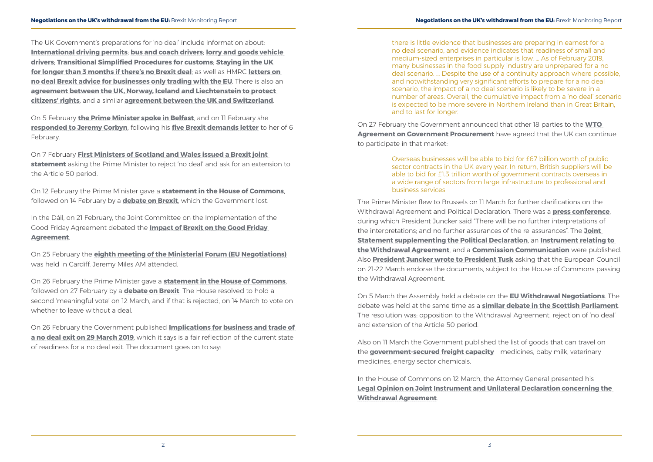The UK Government's preparations for 'no deal' include information about: **[International driving permits](https://www.gov.uk/guidance/international-driving-permits-for-uk-drivers-from-28-march-2019)**; **[bus and coach drivers](https://www.gov.uk/guidance/prepare-to-drive-in-the-eu-after-brexit-bus-and-coach-drivers)**; **[lorry and goods vehicle](https://www.gov.uk/guidance/prepare-to-drive-in-the-eu-after-brexit-lorry-and-goods-vehicle-drivers)  [drivers](https://www.gov.uk/guidance/prepare-to-drive-in-the-eu-after-brexit-lorry-and-goods-vehicle-drivers)**; **[Transitional Simplified Procedures for customs](https://www.gov.uk/government/news/hm-revenue-and-customs-simplifies-importing-from-the-eu-as-part-of-no-deal-preparation)**; **[Staying in the UK](https://www.gov.uk/guidance/european-temporary-leave-to-remain-in-the-uk)  [for longer than 3 months if there's no Brexit deal](https://www.gov.uk/guidance/european-temporary-leave-to-remain-in-the-uk)**; as well as HMRC **[letters on](https://www.gov.uk/government/publications/no-deal-brexit-advice-for-businesses-only-trading-with-the-eu)  [no deal Brexit advice for businesses only trading with the EU](https://www.gov.uk/government/publications/no-deal-brexit-advice-for-businesses-only-trading-with-the-eu)**. There is also an **[agreement between the UK, Norway, Iceland and Liechtenstein to protect](https://assets.publishing.service.gov.uk/government/uploads/system/uploads/attachment_data/file/777400/EEA_EFTA-UK_no_deal_CR_agreement.pdf)  [citizens' rights](https://assets.publishing.service.gov.uk/government/uploads/system/uploads/attachment_data/file/777400/EEA_EFTA-UK_no_deal_CR_agreement.pdf)**, and a similar **[agreement between the UK and Switzerland](https://www.gov.uk/government/news/uk-and-switzerland-sign-citizens-rights-agreement)**.

On 5 February **[the Prime Minister spoke in Belfast](https://www.gov.uk/government/speeches/pm-speech-in-belfast-5-february-2019)**, and on 11 February she **[responded to Jeremy Corbyn](https://www.politicshome.com/news/uk/foreign-affairs/brexit/news/101747/read-full-theresa-mays-brexit-letter-jeremy-corbyn)**, following his **[five Brexit demands letter](https://labour.org.uk/press/jeremy-corbyn-lays-labours-five-brexit-demands-letter-theresa-may/)** to her of 6 February.

On 7 February **[First Ministers of Scotland and Wales issued a Brexit joint](https://www.gov.scot/news/joint-statement-by-the-first-ministers-of-scotland-and-wales/)  [statement](https://www.gov.scot/news/joint-statement-by-the-first-ministers-of-scotland-and-wales/)** asking the Prime Minister to reject 'no deal' and ask for an extension to the Article 50 period.

On 12 February the Prime Minister gave a **[statement in the House of Commons](https://hansard.parliament.uk/commons/2019-02-12/debates/F97FBC77-3E4E-4284-B693-094FB427F4AF/LeavingTheEU)**, followed on 14 February by a **[debate on Brexit](https://hansard.parliament.uk/commons/2019-02-14/debates/12CF0DAA-036D-47C9-BC84-669EB87C38D0/UK’SWithdrawalFromTheEU)**, which the Government lost.

In the Dáil, on 21 February, the Joint Committee on the Implementation of the Good Friday Agreement debated the **[Impact of Brexit on the Good Friday](https://www.oireachtas.ie/en/debates/debate/joint_committee_on_the_implementation_of_the_good_friday_agreement/2019-02-21/2/)  [Agreement](https://www.oireachtas.ie/en/debates/debate/joint_committee_on_the_implementation_of_the_good_friday_agreement/2019-02-21/2/)**.

On 25 February the **[eighth meeting of the Ministerial Forum \(EU Negotiations\)](https://assets.publishing.service.gov.uk/government/uploads/system/uploads/attachment_data/file/781543/20190225-MFEN-Communique-meeting.pdf)** was held in Cardiff. Jeremy Miles AM attended.

On 26 February the Prime Minister gave a **[statement in the House of Commons](https://hansard.parliament.uk/commons/2019-02-26/debates/B5B3B17F-E96D-4093-ADE4-E5A8F4F3C58B/LeavingTheEuropeanUnion)**, followed on 27 February by a **[debate on Brexit](https://hansard.parliament.uk/commons/2019-02-27/debates/78B98FAF-F95B-42F6-848F-5047AEAC46A8/UK’SWithdrawalFromTheEU)**. The House resolved to hold a second 'meaningful vote' on 12 March, and if that is rejected, on 14 March to vote on whether to leave without a deal.

On 26 February the Government published **[Implications for business and trade of](https://assets.publishing.service.gov.uk/government/uploads/system/uploads/attachment_data/file/781768/Implications_for_Business_and_Trade_of_a_No_Deal_Exit_on_29_March_2019.pdf)  [a no deal exit on 29 March 2019](https://assets.publishing.service.gov.uk/government/uploads/system/uploads/attachment_data/file/781768/Implications_for_Business_and_Trade_of_a_No_Deal_Exit_on_29_March_2019.pdf)**, which it says is a fair reflection of the current state of readiness for a no deal exit. The document goes on to say:

there is little evidence that businesses are preparing in earnest for a no deal scenario, and evidence indicates that readiness of small and medium-sized enterprises in particular is low. … As of February 2019, many businesses in the food supply industry are unprepared for a no deal scenario. … Despite the use of a continuity approach where possible, and notwithstanding very significant efforts to prepare for a no deal scenario, the impact of a no deal scenario is likely to be severe in a number of areas. Overall, the cumulative impact from a 'no deal' scenario is expected to be more severe in Northern Ireland than in Great Britain, and to last for longer.

On 27 February the Government announced that other 18 parties to the **[WTO](https://www.gov.uk/government/news/wto-agreement-secures-13-trillion-market-for-british-contractors)  [Agreement on Government Procurement](https://www.gov.uk/government/news/wto-agreement-secures-13-trillion-market-for-british-contractors)** have agreed that the UK can continue to participate in that market:

> Overseas businesses will be able to bid for £67 billion worth of public sector contracts in the UK every year. In return, British suppliers will be able to bid for £1.3 trillion worth of government contracts overseas in a wide range of sectors from large infrastructure to professional and business services

The Prime Minister flew to Brussels on 11 March for further clarifications on the Withdrawal Agreement and Political Declaration. There was a **[press conference](http://europa.eu/rapid/press-release_SPEECH-19-1635_en.htm)**, during which President Juncker said "There will be no further interpretations of the interpretations; and no further assurances of the re-assurances". The **[Joint](https://ec.europa.eu/commission/sites/beta-political/files/joint_statement_.pdf)  [Statement supplementing the Political Declaration](https://ec.europa.eu/commission/sites/beta-political/files/joint_statement_.pdf)**, an **[Instrument relating to](https://ec.europa.eu/commission/sites/beta-political/files/instrument_0.pdf)  [the Withdrawal Agreement](https://ec.europa.eu/commission/sites/beta-political/files/instrument_0.pdf)**, and a **[Commission Communication](https://ec.europa.eu/commission/sites/beta-political/files/commission_communication.pdf)** were published. Also **[President Juncker wrote to President Tusk](https://ec.europa.eu/commission/sites/beta-political/files/letter_president_juncker_to_president_tusk.pdf)** asking that the European Council on 21-22 March endorse the documents, subject to the House of Commons passing the Withdrawal Agreement.

On 5 March the Assembly held a debate on the **[EU Withdrawal Negotiations](http://record.assembly.wales/Plenary/5565)**. The debate was held at the same time as a **[similar debate in the Scottish Parliament](http://www.parliament.scot/parliamentarybusiness/report.aspx?r=11976&i=108292)**. The resolution was: opposition to the Withdrawal Agreement, rejection of 'no deal' and extension of the Article 50 period.

Also on 11 March the Government published the list of goods that can travel on the **[government-secured freight capacity](https://assets.publishing.service.gov.uk/government/uploads/system/uploads/attachment_data/file/785065/20190311_FullList_Cat1Goods_-CLEAN_v6.pdf)** – medicines, baby milk, veterinary medicines, energy sector chemicals.

In the House of Commons on 12 March, the Attorney General presented his **[Legal Opinion on Joint Instrument and Unilateral Declaration concerning the](https://assets.publishing.service.gov.uk/government/uploads/system/uploads/attachment_data/file/785188/190312_-_Legal_Opinion_on_Joint_Instrument_and_Unilateral_Declaration_co..___2_.pdf)  [Withdrawal Agreement](https://assets.publishing.service.gov.uk/government/uploads/system/uploads/attachment_data/file/785188/190312_-_Legal_Opinion_on_Joint_Instrument_and_Unilateral_Declaration_co..___2_.pdf)**.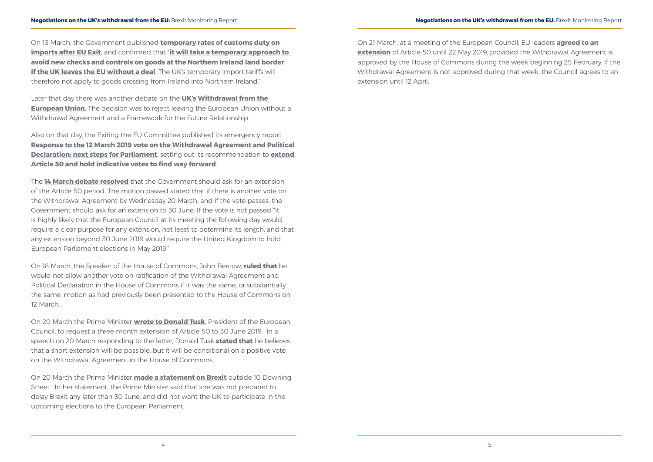On 13 March, the Government published **[temporary rates of customs duty on](https://www.gov.uk/guidance/check-temporary-rates-of-customs-duty-on-imports-after-eu-exit)  [imports after EU Exit](https://www.gov.uk/guidance/check-temporary-rates-of-customs-duty-on-imports-after-eu-exit)**, and confirmed that "**[it will take a temporary approach to](https://www.gov.uk/government/news/temporary-tariff-regime-for-no-deal-brexit-published)  [avoid new checks and controls on goods at the Northern Ireland land border](https://www.gov.uk/government/news/temporary-tariff-regime-for-no-deal-brexit-published)  [if the UK leaves the EU without a deal](https://www.gov.uk/government/news/temporary-tariff-regime-for-no-deal-brexit-published)**. The UK's temporary import tariffs will therefore not apply to goods crossing from Ireland into Northern Ireland."

Later that day there was another debate on the **[UK's Withdrawal from the](https://hansard.parliament.uk/commons/2019-03-13/debates/31D9EDE0-5E57-4491-81E7-77DD7C279DBE/UK’SWithdrawalFromTheEuropeanUnion)  [European Union](https://hansard.parliament.uk/commons/2019-03-13/debates/31D9EDE0-5E57-4491-81E7-77DD7C279DBE/UK’SWithdrawalFromTheEuropeanUnion)**. The decision was to reject leaving the European Union without a Withdrawal Agreement and a Framework for the Future Relationship.

Also on that day, the Exiting the EU Committee published its emergency report **[Response to the 12 March 2019 vote on the Withdrawal Agreement and Political](https://publications.parliament.uk/pa/cm201719/cmselect/cmexeu/2073/207302.htm)  [Declaration: next steps for Parliament](https://publications.parliament.uk/pa/cm201719/cmselect/cmexeu/2073/207302.htm)**, setting out its recommendation to **[extend](https://www.parliament.uk/business/committees/committees-a-z/commons-select/exiting-the-european-union-committee/news-parliament-2017/response-second-meaningful-vote-report-published-17-19/)  [Article 50 and hold indicative votes to find way forward](https://www.parliament.uk/business/committees/committees-a-z/commons-select/exiting-the-european-union-committee/news-parliament-2017/response-second-meaningful-vote-report-published-17-19/)**.

The **[14 March debate resolved](https://hansard.parliament.uk/commons/2019-03-14/debates/74319E9E-D222-474C-8182-34997A16C472/UK’SWithdrawalFromTheEuropeanUnion)** that the Government should ask for an extension of the Article 50 period. The motion passed stated that if there is another vote on the Withdrawal Agreement by Wednesday 20 March, and if the vote passes, the Government should ask for an extension to 30 June. If the vote is not passed "it is highly likely that the European Council at its meeting the following day would require a clear purpose for any extension, not least to determine its length, and that any extension beyond 30 June 2019 would require the United Kingdom to hold European Parliament elections in May 2019."

On 18 March, the Speaker of the House of Commons, John Bercow, **[ruled that](https://hansard.parliament.uk/commons/2019-03-18/debates/AB031E78-C906-4833-9ACF-291998FAC0E1/Speaker’SStatement)** he would not allow another vote on ratification of the Withdrawal Agreement and Political Declaration in the House of Commons if it was the same, or substantially the same, motion as had previously been presented to the House of Commons on 12 March.

On 20 March the Prime Minister **[wrote to Donald Tusk](https://assets.publishing.service.gov.uk/government/uploads/system/uploads/attachment_data/file/787434/PM_to_President_of_the_European_Council.pdf)**, President of the European Council, to request a three month extension of Article 50 to 30 June 2019. In a speech on 20 March responding to the letter, Donald Tusk **[stated that](https://www.consilium.europa.eu/en/press/press-releases/2019/03/20/statement-by-president-donald-tusk-on-brexit/)** he believes that a short extension will be possible, but it will be conditional on a positive vote on the Withdrawal Agreement in the House of Commons.

On 20 March the Prime Minister **[made a statement on Brexit](https://www.gov.uk/government/speeches/pm-statement-on-brexit-20-march-2019)** outside 10 Downing Street. In her statement, the Prime Minister said that she was not prepared to delay Brexit any later than 30 June, and did not want the UK to participate in the upcoming elections to the European Parliament.

On 21 March, at a meeting of the European Council, EU leaders **[agreed to an](https://www.consilium.europa.eu/en/press/press-releases/2019/03/21/european-council-art-50-conclusions-21-march-2019/)  [extension](https://www.consilium.europa.eu/en/press/press-releases/2019/03/21/european-council-art-50-conclusions-21-march-2019/)** of Article 50 until 22 May 2019, provided the Withdrawal Agreement is approved by the House of Commons during the week beginning 25 February. If the Withdrawal Agreement is not approved during that week, the Council agrees to an extension until 12 April.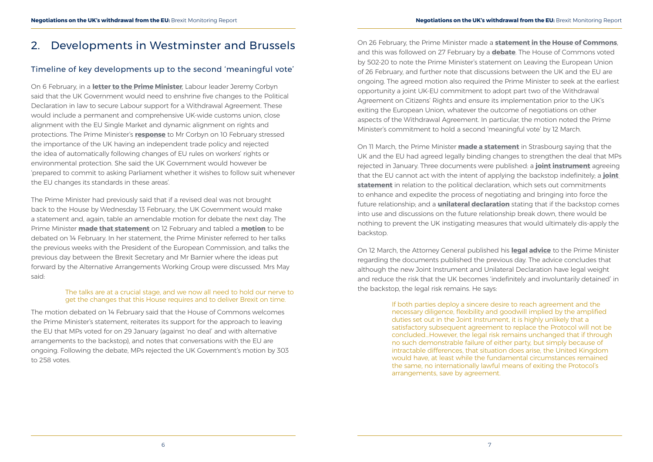# <span id="page-5-0"></span>2. Developments in Westminster and Brussels

#### Timeline of key developments up to the second 'meaningful vote'

On 6 February, in a **[letter to the Prime Minister](https://labour.org.uk/press/jeremy-corbyn-lays-labours-five-brexit-demands-letter-theresa-may/)**, Labour leader Jeremy Corbyn said that the UK Government would need to enshrine five changes to the Political Declaration in law to secure Labour support for a Withdrawal Agreement. These would include a permanent and comprehensive UK-wide customs union, close alignment with the EU Single Market and dynamic alignment on rights and protections. The Prime Minister's **[response](https://www.bbc.co.uk/news/uk-politics-47192233)** to Mr Corbyn on 10 February stressed the importance of the UK having an independent trade policy and rejected the idea of automatically following changes of EU rules on workers' rights or environmental protection. She said the UK Government would however be 'prepared to commit to asking Parliament whether it wishes to follow suit whenever the EU changes its standards in these areas'.

The Prime Minister had previously said that if a revised deal was not brought back to the House by Wednesday 13 February, the UK Government would make a statement and, again, table an amendable motion for debate the next day. The Prime Minister **[made that statement](https://www.gov.uk/government/speeches/pms-statement-to-the-house-of-commons-on-brexit-12-february-2019)** on 12 February and tabled a **[motion](https://publications.parliament.uk/pa/cm201719/cmagenda/OP190213.pdf)** to be debated on 14 February. In her statement, the Prime Minister referred to her talks the previous weeks with the President of the European Commission, and talks the previous day between the Brexit Secretary and Mr Barnier where the ideas put forward by the Alternative Arrangements Working Group were discussed. Mrs May said:

#### The talks are at a crucial stage, and we now all need to hold our nerve to get the changes that this House requires and to deliver Brexit on time.

The motion debated on 14 February said that the House of Commons welcomes the Prime Minister's statement, reiterates its support for the approach to leaving the EU that MPs voted for on 29 January (against 'no deal' and with alternative arrangements to the backstop), and notes that conversations with the EU are ongoing. Following the debate, MPs rejected the UK Government's motion by 303 to 258 votes.

On 26 February, the Prime Minister made a **[statement in the House of Commons](https://hansard.parliament.uk/commons/2019-02-26/debates/B5B3B17F-E96D-4093-ADE4-E5A8F4F3C58B/LeavingTheEuropeanUnion)**, and this was followed on 27 February by a **[debate](https://hansard.parliament.uk/commons/2019-02-27/debates/78B98FAF-F95B-42F6-848F-5047AEAC46A8/UK’SWithdrawalFromTheEU)**. The House of Commons voted by 502-20 to note the Prime Minister's statement on Leaving the European Union of 26 February, and further note that discussions between the UK and the EU are ongoing. The agreed motion also required the Prime Minister to seek at the earliest opportunity a joint UK-EU commitment to adopt part two of the Withdrawal Agreement on Citizens' Rights and ensure its implementation prior to the UK's exiting the European Union, whatever the outcome of negotiations on other aspects of the Withdrawal Agreement. In particular, the motion noted the Prime Minister's commitment to hold a second 'meaningful vote' by 12 March.

On 11 March, the Prime Minister **[made a statement](https://www.gov.uk/government/speeches/prime-ministers-press-statement-in-strasbourg-11-march-2019)** in Strasbourg saying that the UK and the EU had agreed legally binding changes to strengthen the deal that MPs rejected in January. Three documents were published: a **[joint instrument](https://assets.publishing.service.gov.uk/government/uploads/system/uploads/attachment_data/file/785157/2019-03-11_Instrument.pdf)** agreeing that the EU cannot act with the intent of applying the backstop indefinitely; a **[joint](https://assets.publishing.service.gov.uk/government/uploads/system/uploads/attachment_data/file/785120/2019-03-11_Statement.pdf)  [statement](https://assets.publishing.service.gov.uk/government/uploads/system/uploads/attachment_data/file/785120/2019-03-11_Statement.pdf)** in relation to the political declaration, which sets out commitments to enhance and expedite the process of negotiating and bringing into force the future relationship; and a **[unilateral declaration](https://assets.publishing.service.gov.uk/government/uploads/system/uploads/attachment_data/file/785124/2019-03-11_Unilateral_Declaration.pdf)** stating that if the backstop comes into use and discussions on the future relationship break down, there would be nothing to prevent the UK instigating measures that would ultimately dis-apply the backstop.

On 12 March, the Attorney General published his **[legal advice](https://assets.publishing.service.gov.uk/government/uploads/system/uploads/attachment_data/file/785188/190312_-_Legal_Opinion_on_Joint_Instrument_and_Unilateral_Declaration_co..___2_.pdf)** to the Prime Minister regarding the documents published the previous day. The advice concludes that although the new Joint Instrument and Unilateral Declaration have legal weight and reduce the risk that the UK becomes 'indefinitely and involuntarily detained' in the backstop, the legal risk remains. He says:

> If both parties deploy a sincere desire to reach agreement and the necessary diligence, flexibility and goodwill implied by the amplified duties set out in the Joint Instrument, it is highly unlikely that a satisfactory subsequent agreement to replace the Protocol will not be concluded…However, the legal risk remains unchanged that if through no such demonstrable failure of either party, but simply because of intractable differences, that situation does arise, the United Kingdom would have, at least while the fundamental circumstances remained the same, no internationally lawful means of exiting the Protocol's arrangements, save by agreement.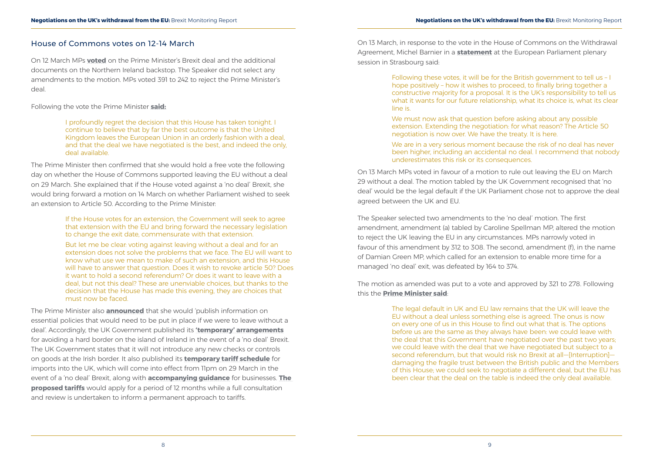#### <span id="page-6-0"></span>House of Commons votes on 12-14 March

On 12 March MPs **voted** on the Prime Minister's Brexit deal and the additional documents on the Northern Ireland backstop. The Speaker did not select any amendments to the motion. MPs voted 391 to 242 to reject the Prime Minister's deal.

Following the vote the Prime Minister **[said:](http://bit.ly/2EVfikf)**

I profoundly regret the decision that this House has taken tonight. I continue to believe that by far the best outcome is that the United Kingdom leaves the European Union in an orderly fashion with a deal, and that the deal we have negotiated is the best, and indeed the only, deal available.

The Prime Minister then confirmed that she would hold a free vote the following day on whether the House of Commons supported leaving the EU without a deal on 29 March. She explained that if the House voted against a 'no deal' Brexit, she would bring forward a motion on 14 March on whether Parliament wished to seek an extension to Article 50. According to the Prime Minister:

> If the House votes for an extension, the Government will seek to agree that extension with the EU and bring forward the necessary legislation to change the exit date, commensurate with that extension.

But let me be clear: voting against leaving without a deal and for an extension does not solve the problems that we face. The EU will want to know what use we mean to make of such an extension, and this House will have to answer that question. Does it wish to revoke article 50? Does it want to hold a second referendum? Or does it want to leave with a deal, but not this deal? These are unenviable choices, but thanks to the decision that the House has made this evening, they are choices that must now be faced.

We must now ask that question before asking about any possible extension. Extending the negotiation: for what reason? The Article 50 negotiation is now over. We have the treaty. It is here.

The Prime Minister also **announced** that she would 'publish information on essential policies that would need to be put in place if we were to leave without a deal'. Accordingly, the UK Government published its **['temporary' arrangements](https://www.gov.uk/guidance/eu-exit-avoiding-a-hard-border-in-northern-ireland-in-a-no-deal-scenario)** for avoiding a hard border on the island of Ireland in the event of a 'no deal' Brexit. The UK Government states that it will not introduce any new checks or controls on goods at the Irish border. It also published its **[temporary tariff schedule](https://www.gov.uk/government/publications/temporary-rates-of-customs-duty-on-imports-after-eu-exit)** for imports into the UK, which will come into effect from 11pm on 29 March in the event of a 'no deal' Brexit, along with **[accompanying guidance](https://www.gov.uk/guidance/check-temporary-rates-of-customs-duty-on-imports-after-eu-exit)** for businesses. **[The](https://www.gov.uk/government/news/temporary-tariff-regime-for-no-deal-brexit-published)  [proposed tariffs](https://www.gov.uk/government/news/temporary-tariff-regime-for-no-deal-brexit-published)** would apply for a period of 12 months while a full consultation and review is undertaken to inform a permanent approach to tariffs.

On 13 March, in response to the vote in the House of Commons on the Withdrawal Agreement, Michel Barnier in a **[statement](http://europa.eu/rapid/press-release_STATEMENT-19-1673_en.htm)** at the European Parliament plenary session in Strasbourg said:

> Following these votes, it will be for the British government to tell us – I hope positively - how it wishes to proceed, to finally bring together a constructive majority for a proposal. It is the UK's responsibility to tell us what it wants for our future relationship, what its choice is, what its clear line is.

We are in a very serious moment because the risk of no deal has never been higher, including an accidental no deal. I recommend that nobody underestimates this risk or its consequences.

On 13 March MPs voted in favour of a motion to rule out leaving the EU on March 29 without a deal. The motion tabled by the UK Government recognised that 'no deal' would be the legal default if the UK Parliament chose not to approve the deal agreed between the UK and EU.

The Speaker selected two amendments to the 'no deal' motion. The first amendment, amendment (a) tabled by Caroline Spellman MP, altered the motion to reject the UK leaving the EU in any circumstances. MPs narrowly voted in favour of this amendment by 312 to 308. The second, amendment (f), in the name of Damian Green MP, which called for an extension to enable more time for a managed 'no deal' exit, was defeated by 164 to 374.

The motion as amended was put to a vote and approved by 321 to 278. Following this the **[Prime Minister said](https://hansard.parliament.uk/commons/2019-03-13/debates/31D9EDE0-5E57-4491-81E7-77DD7C279DBE/UK’SWithdrawalFromTheEuropeanUnion)**:

> The legal default in UK and EU law remains that the UK will leave the EU without a deal unless something else is agreed. The onus is now on every one of us in this House to find out what that is. The options before us are the same as they always have been: we could leave with the deal that this Government have negotiated over the past two years; we could leave with the deal that we have negotiated but subject to a second referendum, but that would risk no Brexit at all—[Interruption] damaging the fragile trust between the British public and the Members of this House; we could seek to negotiate a different deal, but the EU has been clear that the deal on the table is indeed the only deal available.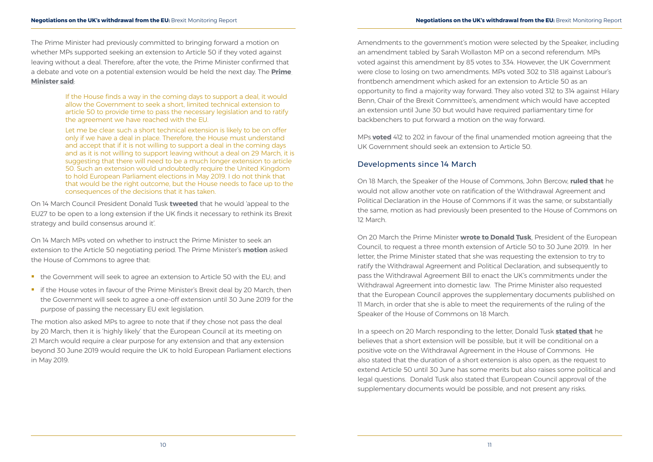<span id="page-7-0"></span>The Prime Minister had previously committed to bringing forward a motion on whether MPs supported seeking an extension to Article 50 if they voted against leaving without a deal. Therefore, after the vote, the Prime Minister confirmed that a debate and vote on a potential extension would be held the next day. The **[Prime](http://bit.ly/2FehpAW)  [Minister said](http://bit.ly/2FehpAW)**:

> If the House finds a way in the coming days to support a deal, it would allow the Government to seek a short, limited technical extension to article 50 to provide time to pass the necessary legislation and to ratify the agreement we have reached with the EU.

- the Government will seek to agree an extension to Article 50 with the EU; and
- **F** if the House votes in favour of the Prime Minister's Brexit deal by 20 March, then the Government will seek to agree a one-off extension until 30 June 2019 for the purpose of passing the necessary EU exit legislation.

Let me be clear: such a short technical extension is likely to be on offer only if we have a deal in place. Therefore, the House must understand and accept that if it is not willing to support a deal in the coming days and as it is not willing to support leaving without a deal on 29 March, it is suggesting that there will need to be a much longer extension to article 50. Such an extension would undoubtedly require the United Kingdom to hold European Parliament elections in May 2019. I do not think that that would be the right outcome, but the House needs to face up to the consequences of the decisions that it has taken.

On 14 March Council President Donald Tusk **[tweeted](https://twitter.com/eucopresident/status/1106115929539334144)** that he would 'appeal to the EU27 to be open to a long extension if the UK finds it necessary to rethink its Brexit strategy and build consensus around it'.

On 14 March MPs voted on whether to instruct the Prime Minister to seek an extension to the Article 50 negotiating period. The Prime Minister's **[motion](https://publications.parliament.uk/pa/cm201719/cmagenda/ManuscriptAmdts1403v1.pdf)** asked the House of Commons to agree that:

The motion also asked MPs to agree to note that if they chose not pass the deal by 20 March, then it is 'highly likely' that the European Council at its meeting on 21 March would require a clear purpose for any extension and that any extension beyond 30 June 2019 would require the UK to hold European Parliament elections in May 2019.

Amendments to the government's motion were selected by the Speaker, including an amendment tabled by Sarah Wollaston MP on a second referendum. MPs voted against this amendment by 85 votes to 334. However, the UK Government were close to losing on two amendments. MPs voted 302 to 318 against Labour's frontbench amendment which asked for an extension to Article 50 as an opportunity to find a majority way forward. They also voted 312 to 314 against Hilary Benn, Chair of the Brexit Committee's, amendment which would have accepted an extension until June 30 but would have required parliamentary time for backbenchers to put forward a motion on the way forward.

MPs **[voted](http://bit.ly/2THiWbt)** 412 to 202 in favour of the final unamended motion agreeing that the UK Government should seek an extension to Article 50.

#### Developments since 14 March

On 18 March, the Speaker of the House of Commons, John Bercow, **[ruled that](https://hansard.parliament.uk/commons/2019-03-18/debates/AB031E78-C906-4833-9ACF-291998FAC0E1/Speaker’SStatement)** he would not allow another vote on ratification of the Withdrawal Agreement and Political Declaration in the House of Commons if it was the same, or substantially the same, motion as had previously been presented to the House of Commons on 12 March.

On 20 March the Prime Minister **[wrote to Donald Tusk](https://assets.publishing.service.gov.uk/government/uploads/system/uploads/attachment_data/file/787434/PM_to_President_of_the_European_Council.pdf)**, President of the European Council, to request a three month extension of Article 50 to 30 June 2019. In her letter, the Prime Minister stated that she was requesting the extension to try to ratify the Withdrawal Agreement and Political Declaration, and subsequently to pass the Withdrawal Agreement Bill to enact the UK's commitments under the Withdrawal Agreement into domestic law. The Prime Minister also requested that the European Council approves the supplementary documents published on 11 March, in order that she is able to meet the requirements of the ruling of the Speaker of the House of Commons on 18 March.

In a speech on 20 March responding to the letter, Donald Tusk **[stated that](https://www.consilium.europa.eu/en/press/press-releases/2019/03/20/statement-by-president-donald-tusk-on-brexit/)** he believes that a short extension will be possible, but it will be conditional on a positive vote on the Withdrawal Agreement in the House of Commons. He also stated that the duration of a short extension is also open, as the request to extend Article 50 until 30 June has some merits but also raises some political and legal questions. Donald Tusk also stated that European Council approval of the supplementary documents would be possible, and not present any risks.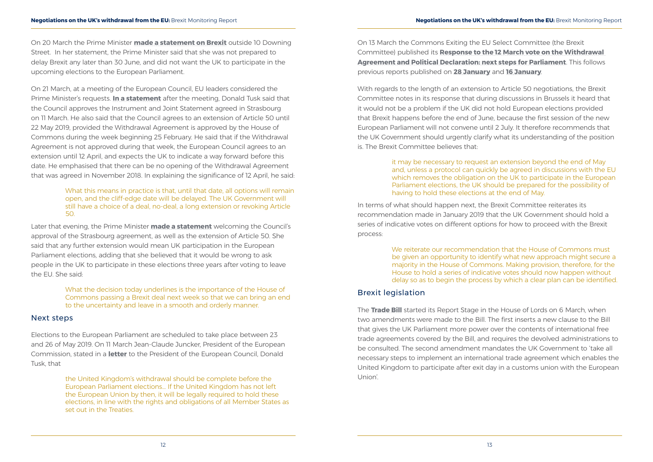<span id="page-8-0"></span>On 20 March the Prime Minister **[made a statement on Brexit](https://www.gov.uk/government/speeches/pm-statement-on-brexit-20-march-2019)** outside 10 Downing Street. In her statement, the Prime Minister said that she was not prepared to delay Brexit any later than 30 June, and did not want the UK to participate in the upcoming elections to the European Parliament.

On 21 March, at a meeting of the European Council, EU leaders considered the Prime Minister's requests. **[In a statement](https://www.consilium.europa.eu/en/press/press-releases/2019/03/21/remarks-by-president-donald-tusk-after-the-european-council-meeting-art-50/)** after the meeting, Donald Tusk said that the Council approves the Instrument and Joint Statement agreed in Strasbourg on 11 March. He also said that the Council agrees to an extension of Article 50 until 22 May 2019, provided the Withdrawal Agreement is approved by the House of Commons during the week beginning 25 February. He said that if the Withdrawal Agreement is not approved during that week, the European Council agrees to an extension until 12 April, and expects the UK to indicate a way forward before this date. He emphasised that there can be no opening of the Withdrawal Agreement that was agreed in November 2018. In explaining the significance of 12 April, he said:

#### What this means in practice is that, until that date, all options will remain open, and the cliff-edge date will be delayed. The UK Government will still have a choice of a deal, no-deal, a long extension or revoking Article 50.

Later that evening, the Prime Minister **[made a statement](https://www.gov.uk/government/speeches/pm-statement-at-the-eu-council-21-march-2019)** welcoming the Council's approval of the Strasbourg agreement, as well as the extension of Article 50. She said that any further extension would mean UK participation in the European Parliament elections, adding that she believed that it would be wrong to ask people in the UK to participate in these elections three years after voting to leave the EU. She said:

> What the decision today underlines is the importance of the House of Commons passing a Brexit deal next week so that we can bring an end to the uncertainty and leave in a smooth and orderly manner.

#### Next steps

Elections to the European Parliament are scheduled to take place between 23 and 26 of May 2019. On 11 March Jean-Claude Juncker, President of the European Commission, stated in a **[letter](https://ec.europa.eu/commission/sites/beta-political/files/letter_president_juncker_to_president_tusk.pdf)** to the President of the European Council, Donald Tusk, that

> the United Kingdom's withdrawal should be complete before the European Parliament elections... If the United Kingdom has not left the European Union by then, it will be legally required to hold these elections, in line with the rights and obligations of all Member States as set out in the Treaties.

On 13 March the Commons Exiting the EU Select Committee (the Brexit Committee) published its **Response to the 12 March vote on the Withdrawal Agreement and Political Declaration: next steps for Parliament**. This follows previous reports published on **[28 January](https://publications.parliament.uk/pa/cm201719/cmselect/cmexeu/1908/1908.pdf)** and **[16 January](https://publications.parliament.uk/pa/cm201719/cmselect/cmexeu/1902/190202.htm)**.

With regards to the length of an extension to Article 50 negotiations, the Brexit Committee notes in its response that during discussions in Brussels it heard that it would not be a problem if the UK did not hold European elections provided that Brexit happens before the end of June, because the first session of the new European Parliament will not convene until 2 July. It therefore recommends that the UK Government should urgently clarify what its understanding of the position is. The Brexit Committee believes that:

> it may be necessary to request an extension beyond the end of May and, unless a protocol can quickly be agreed in discussions with the EU which removes the obligation on the UK to participate in the European Parliament elections, the UK should be prepared for the possibility of having to hold these elections at the end of May.

In terms of what should happen next, the Brexit Committee reiterates its recommendation made in January 2019 that the UK Government should hold a series of indicative votes on different options for how to proceed with the Brexit process:

> We reiterate our recommendation that the House of Commons must be given an opportunity to identify what new approach might secure a majority in the House of Commons. Making provision, therefore, for the House to hold a series of indicative votes should now happen without delay so as to begin the process by which a clear plan can be identified.

#### Brexit legislation

The **[Trade Bill](https://services.parliament.uk/bills/2017-19/trade.html)** started its Report Stage in the House of Lords on 6 March, when two amendments were made to the Bill. The first inserts a new clause to the Bill that gives the UK Parliament more power over the contents of international free trade agreements covered by the Bill, and requires the devolved administrations to be consulted. The second amendment mandates the UK Government to 'take all necessary steps to implement an international trade agreement which enables the United Kingdom to participate after exit day in a customs union with the European Union'.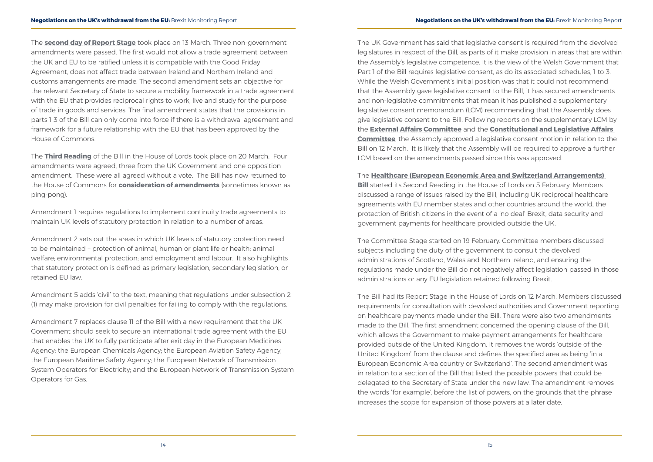The **[second day of Report Stage](https://hansard.parliament.uk/lords/2019-03-13/debates/3A7221E4-BF51-4FA9-B93F-D2C498008CFA/TradeBill)** took place on 13 March. Three non-government amendments were passed. The first would not allow a trade agreement between the UK and EU to be ratified unless it is compatible with the Good Friday Agreement, does not affect trade between Ireland and Northern Ireland and customs arrangements are made. The second amendment sets an objective for the relevant Secretary of State to secure a mobility framework in a trade agreement with the EU that provides reciprocal rights to work, live and study for the purpose of trade in goods and services. The final amendment states that the provisions in parts 1-3 of the Bill can only come into force if there is a withdrawal agreement and framework for a future relationship with the EU that has been approved by the House of Commons.

The **[Third Reading](https://hansard.parliament.uk/lords/2019-03-20/debates/07BB6C1D-049F-4AC3-87A2-D2898082613B/TradeBill)** of the Bill in the House of Lords took place on 20 March. Four amendments were agreed, three from the UK Government and one opposition amendment. These were all agreed without a vote. The Bill has now returned to the House of Commons for **[consideration of amendments](https://www.parliament.uk/about/how/laws/passage-bill/lords/lrds-consideration-of-amendments/)** (sometimes known as ping-pong).

Amendment 1 requires regulations to implement continuity trade agreements to maintain UK levels of statutory protection in relation to a number of areas.

Amendment 2 sets out the areas in which UK levels of statutory protection need to be maintained – protection of animal, human or plant life or health; animal welfare; environmental protection; and employment and labour. It also highlights that statutory protection is defined as primary legislation, secondary legislation, or retained EU law.

Amendment 5 adds 'civil' to the text, meaning that regulations under subsection 2 (1) may make provision for civil penalties for failing to comply with the regulations.

**[Bill](https://services.parliament.uk/bills/2017-19/healthcareinternationalarrangements.html)** started its Second Reading in the House of Lords on 5 February. Members discussed a range of issues raised by the Bill, including UK reciprocal healthcare agreements with EU member states and other countries around the world, the protection of British citizens in the event of a 'no deal' Brexit, data security and government payments for healthcare provided outside the UK.

Amendment 7 replaces clause 11 of the Bill with a new requirement that the UK Government should seek to secure an international trade agreement with the EU that enables the UK to fully participate after exit day in the European Medicines Agency; the European Chemicals Agency; the European Aviation Safety Agency; the European Maritime Safety Agency; the European Network of Transmission System Operators for Electricity; and the European Network of Transmission System Operators for Gas.

The UK Government has said that legislative consent is required from the devolved legislatures in respect of the Bill, as parts of it make provision in areas that are within the Assembly's legislative competence. It is the view of the Welsh Government that Part 1 of the Bill requires legislative consent, as do its associated schedules, 1 to 3. While the Welsh Government's initial position was that it could not recommend that the Assembly gave legislative consent to the Bill, it has secured amendments and non-legislative commitments that mean it has published a supplementary legislative consent memorandum (LCM) recommending that the Assembly does give legislative consent to the Bill. Following reports on the supplementary LCM by the **[External Affairs Committee](http://www.assembly.wales/laid%20documents/cr-ld12376/cr-ld12376-e.pdf)** and the **[Constitutional and Legislative Affairs](http://www.assembly.wales/laid%20documents/cr-ld12380/cr-ld12380-e.pdf)  [Committee](http://www.assembly.wales/laid%20documents/cr-ld12380/cr-ld12380-e.pdf)**, the Assembly approved a legislative consent motion in relation to the Bill on 12 March. It is likely that the Assembly will be required to approve a further LCM based on the amendments passed since this was approved.

The **[Healthcare \(European Economic Area and Switzerland Arrangements\)](https://services.parliament.uk/bills/2017-19/healthcareinternationalarrangements.html)** 

The Committee Stage started on 19 February. Committee members discussed subjects including the duty of the government to consult the devolved administrations of Scotland, Wales and Northern Ireland, and ensuring the regulations made under the Bill do not negatively affect legislation passed in those administrations or any EU legislation retained following Brexit.

The Bill had its Report Stage in the House of Lords on 12 March. Members discussed requirements for consultation with devolved authorities and Government reporting on healthcare payments made under the Bill. There were also two amendments made to the Bill. The first amendment concerned the opening clause of the Bill, which allows the Government to make payment arrangements for healthcare provided outside of the United Kingdom. It removes the words 'outside of the United Kingdom' from the clause and defines the specified area as being 'in a European Economic Area country or Switzerland'. The second amendment was in relation to a section of the Bill that listed the possible powers that could be delegated to the Secretary of State under the new law. The amendment removes the words 'for example', before the list of powers, on the grounds that the phrase increases the scope for expansion of those powers at a later date.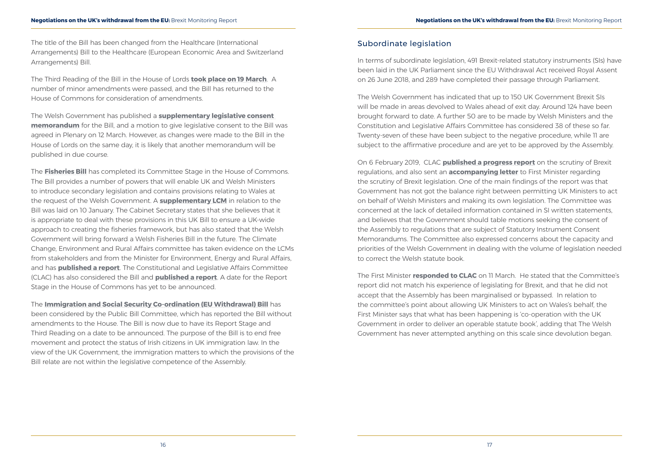<span id="page-10-0"></span>The title of the Bill has been changed from the Healthcare (International Arrangements) Bill to the Healthcare (European Economic Area and Switzerland Arrangements) Bill.

The Third Reading of the Bill in the House of Lords **[took place on 19 March](https://hansard.parliament.uk/lords/2019-03-19/debates/759004D8-D2CB-40B7-9A82-B8EC98B29884/Healthcare(EuropeanEconomicAreaAndSwitzerlandArrangements)Bill)**. A number of minor amendments were passed, and the Bill has returned to the House of Commons for consideration of amendments.

The Welsh Government has published a **[supplementary legislative consent](http://www.assembly.wales/laid%20documents/lcm-ld12232/lcm-ld12232-e.pdf)  [memorandum](http://www.assembly.wales/laid%20documents/lcm-ld12232/lcm-ld12232-e.pdf)** for the Bill, and a motion to give legislative consent to the Bill was agreed in Plenary on 12 March. However, as changes were made to the Bill in the House of Lords on the same day, it is likely that another memorandum will be published in due course.

The **[Fisheries Bill](https://services.parliament.uk/bills/2017-19/fisheries.html)** has completed its Committee Stage in the House of Commons. The Bill provides a number of powers that will enable UK and Welsh Ministers to introduce secondary legislation and contains provisions relating to Wales at the request of the Welsh Government. A **[supplementary LCM](http://www.assembly.wales/laid%20documents/lcm-ld12027/lcm-ld12027-e.pdf)** in relation to the Bill was laid on 10 January. The Cabinet Secretary states that she believes that it is appropriate to deal with these provisions in this UK Bill to ensure a UK-wide approach to creating the fisheries framework, but has also stated that the Welsh Government will bring forward a Welsh Fisheries Bill in the future. The Climate Change, Environment and Rural Affairs committee has taken evidence on the LCMs from stakeholders and from the Minister for Environment, Energy and Rural Affairs, and has **[published a report](http://www.assembly.wales/laid%20documents/cr-ld12141/cr-ld12141-e.pdf)**. The Constitutional and Legislative Affairs Committee (CLAC) has also considered the Bill and **[published a report](http://www.assembly.wales/laid%20documents/cr-ld12143/cr-ld12143-e.pdf)**. A date for the Report Stage in the House of Commons has yet to be announced.

The **[Immigration and Social Security Co-ordination \(EU Withdrawal\) Bill](https://services.parliament.uk/Bills/2017-19/immigrationandsocialsecuritycoordinationeuwithdrawal.html)** has been considered by the Public Bill Committee, which has reported the Bill without amendments to the House. The Bill is now due to have its Report Stage and Third Reading on a date to be announced. The purpose of the Bill is to end free movement and protect the status of Irish citizens in UK immigration law. In the view of the UK Government, the immigration matters to which the provisions of the Bill relate are not within the legislative competence of the Assembly.

#### Subordinate legislation

In terms of subordinate legislation, 491 Brexit-related statutory instruments (SIs) have been laid in the UK Parliament since the EU Withdrawal Act received Royal Assent on 26 June 2018, and 289 have completed their passage through Parliament.

The Welsh Government has indicated that up to 150 UK Government Brexit SIs will be made in areas devolved to Wales ahead of exit day. Around 124 have been brought forward to date. A further 50 are to be made by Welsh Ministers and the Constitution and Legislative Affairs Committee has considered 38 of these so far. Twenty-seven of these have been subject to the negative procedure, while 11 are subject to the affirmative procedure and are yet to be approved by the Assembly.

On 6 February 2019, CLAC **[published a progress report](http://www.assembly.wales/laid%20documents/cr-ld12128/cr-ld12128-e.pdf)** on the scrutiny of Brexit regulations, and also sent an **[accompanying letter](http://senedd.assembly.wales/documents/s84203/Letter%20to%20the%20First%20Minister%20-%206%20February%202019.pdf)** to First Minister regarding the scrutiny of Brexit legislation. One of the main findings of the report was that Government has not got the balance right between permitting UK Ministers to act on behalf of Welsh Ministers and making its own legislation. The Committee was concerned at the lack of detailed information contained in SI written statements, and believes that the Government should table motions seeking the consent of the Assembly to regulations that are subject of Statutory Instrument Consent Memorandums. The Committee also expressed concerns about the capacity and priorities of the Welsh Government in dealing with the volume of legislation needed to correct the Welsh statute book.

The First Minister **[responded to CLAC](http://senedd.assembly.wales/documents/s86357/Letter%20from%20the%20First%20Minister%20-%2011%20March%202019.pdf)** on 11 March. He stated that the Committee's report did not match his experience of legislating for Brexit, and that he did not accept that the Assembly has been marginalised or bypassed. In relation to the committee's point about allowing UK Ministers to act on Wales's behalf, the First Minister says that what has been happening is 'co-operation with the UK Government in order to deliver an operable statute book', adding that The Welsh Government has never attempted anything on this scale since devolution began.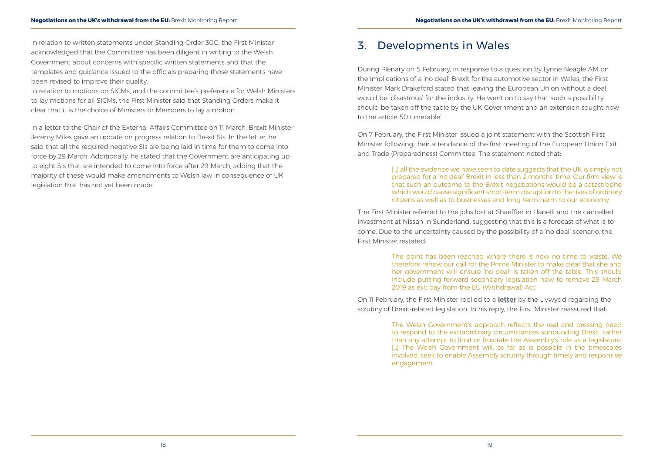<span id="page-11-0"></span>In relation to written statements under Standing Order 30C, the First Minister acknowledged that the Committee has been diligent in writing to the Welsh Government about concerns with specific written statements and that the templates and guidance issued to the officials preparing those statements have been revised to improve their quality.

In relation to motions on SICMs, and the committee's preference for Welsh Ministers to lay motions for all SICMs, the First Minister said that Standing Orders make it clear that it is the choice of Ministers or Members to lay a motion.

In a letter to the Chair of the External Affairs Committee on 11 March, Brexit Minister Jeremy Miles gave an update on progress relation to Brexit SIs. In the letter, he said that all the required negative SIs are being laid in time for them to come into force by 29 March. Additionally, he stated that the Government are anticipating up to eight SIs that are intended to come into force after 29 March, adding that the majority of these would make amendments to Welsh law in consequence of UK legislation that has not yet been made.

[...] all the evidence we have seen to date suggests that the UK is simply not prepared for a 'no deal' Brexit in less than 2 months' time. Our firm view is that such an outcome to the Brexit negotiations would be a catastrophe which would cause significant short-term disruption to the lives of ordinary citizens as well as to businesses and long-term harm to our economy.

## 3. Developments in Wales

During Plenary on 5 February, in response to a question by Lynne Neagle AM on the implications of a 'no deal' Brexit for the automotive sector in Wales, the First Minister Mark Drakeford stated that leaving the European Union without a deal would be 'disastrous' for the industry. He went on to say that 'such a possibility should be taken off the table by the UK Government and an extension sought now to the article 50 timetable'.

On 7 February, the First Minister issued a joint statement with the Scottish First Minister following their attendance of the first meeting of the European Union Exit and Trade (Preparedness) Committee. The statement noted that:

The First Minister referred to the jobs lost at Shaeffler in Llanelli and the cancelled investment at Nissan in Sunderland, suggesting that this is a forecast of what is to come. Due to the uncertainty caused by the possibility of a 'no deal' scenario, the First Minister restated:

> The point has been reached where there is now no time to waste. We therefore renew our call for the Prime Minister to make clear that she and her government will ensure 'no deal' is taken off the table. This should include putting forward secondary legislation now to remove 29 March 2019 as exit day from the EU (Withdrawal) Act.

On 11 February, the First Minister replied to a **[letter](http://senedd.assembly.wales/documents/s83926/Correspondence%20from%20the%20First%20Minister%20of%20Wales%20-%2011%20January%202019.pdf)** by the Llywydd regarding the scrutiny of Brexit-related legislation. In his reply, the First Minister reassured that:

> The Welsh Government's approach reflects the real and pressing need to respond to the extraordinary circumstances surrounding Brexit, rather than any attempt to limit or frustrate the Assembly's role as a legislature. [...] The Welsh Government will, as far as is possible in the timescales involved, seek to enable Assembly scrutiny through timely and responsive engagement.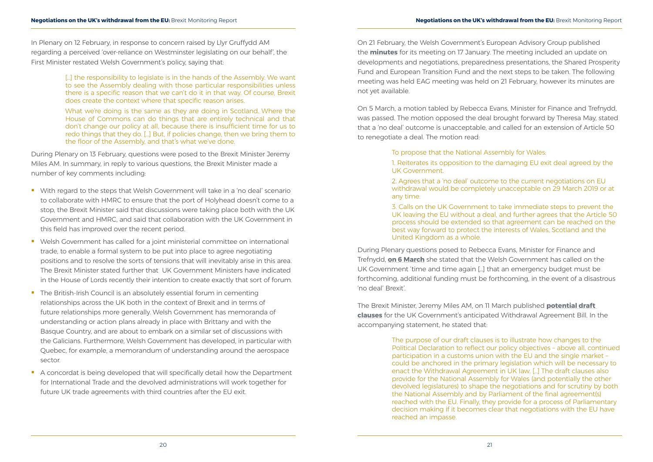In Plenary on 12 February, in response to concern raised by Llyr Gruffydd AM regarding a perceived 'over-reliance on Westminster legislating on our behalf', the First Minister restated Welsh Government's policy, saying that:

> [...] the responsibility to legislate is in the hands of the Assembly. We want to see the Assembly dealing with those particular responsibilities unless there is a specific reason that we can't do it in that way. Of course, Brexit does create the context where that specific reason arises.

> What we're doing is the same as they are doing in Scotland. Where the House of Commons can do things that are entirely technical and that don't change our policy at all, because there is insufficient time for us to redo things that they do. […] But, if policies change, then we bring them to the floor of the Assembly, and that's what we've done.

During Plenary on 13 February, questions were posed to the Brexit Minister Jeremy Miles AM. In summary, in reply to various questions, the Brexit Minister made a number of key comments including:

- With regard to the steps that Welsh Government will take in a 'no deal' scenario to collaborate with HMRC to ensure that the port of Holyhead doesn't come to a stop, the Brexit Minister said that discussions were taking place both with the UK Government and HMRC, and said that collaboration with the UK Government in this field has improved over the recent period.
- Welsh Government has called for a joint ministerial committee on international trade, to enable a formal system to be put into place to agree negotiating positions and to resolve the sorts of tensions that will inevitably arise in this area. The Brexit Minister stated further that UK Government Ministers have indicated in the House of Lords recently their intention to create exactly that sort of forum.
- **The British-Irish Council is an absolutely essential forum in cementing** relationships across the UK both in the context of Brexit and in terms of future relationships more generally. Welsh Government has memoranda of understanding or action plans already in place with Brittany and with the Basque Country, and are about to embark on a similar set of discussions with the Galicians. Furthermore, Welsh Government has developed, in particular with Quebec, for example, a memorandum of understanding around the aerospace sector.
- A concordat is being developed that will specifically detail how the Department for International Trade and the devolved administrations will work together for future UK trade agreements with third countries after the EU exit.

On 21 February, the Welsh Government's European Advisory Group published the **[minutes](https://beta.gov.wales/european-advisory-group-meeting-17-january-2019)** for its meeting on 17 January. The meeting included an update on developments and negotiations, preparedness presentations, the Shared Prosperity Fund and European Transition Fund and the next steps to be taken. The following meeting was held EAG meeting was held on 21 February, however its minutes are not yet available.

On 5 March, a motion tabled by Rebecca Evans, Minister for Finance and Trefnydd, was passed. The motion opposed the deal brought forward by Theresa May, stated that a 'no deal' outcome is unacceptable, and called for an extension of Article 50 to renegotiate a deal. The motion read:

> To propose that the National Assembly for Wales: 1. Reiterates its opposition to the damaging EU exit deal agreed by the UK Government.

> 2. Agrees that a 'no deal' outcome to the current negotiations on EU withdrawal would be completely unacceptable on 29 March 2019 or at any time.

> 3. Calls on the UK Government to take immediate steps to prevent the UK leaving the EU without a deal, and further agrees that the Article 50 process should be extended so that agreement can be reached on the best way forward to protect the interests of Wales, Scotland and the United Kingdom as a whole.

During Plenary questions posed to Rebecca Evans, Minister for Finance and Trefnydd, **[on 6 March](http://record.assembly.wales/Plenary/5566)** she stated that the Welsh Government has called on the UK Government 'time and time again […] that an emergency budget must be forthcoming, additional funding must be forthcoming, in the event of a disastrous 'no deal' Brexit'.

The Brexit Minister, Jeremy Miles AM, on 11 March published **[potential draft](https://beta.gov.wales/written-statement-implementing-securing-wales-future)  [clauses](https://beta.gov.wales/written-statement-implementing-securing-wales-future)** for the UK Government's anticipated Withdrawal Agreement Bill. In the accompanying statement, he stated that:

> The purpose of our draft clauses is to illustrate how changes to the Political Declaration to reflect our policy objectives – above all, continued participation in a customs union with the EU and the single market – could be anchored in the primary legislation which will be necessary to enact the Withdrawal Agreement in UK law. […] The draft clauses also provide for the National Assembly for Wales (and potentially the other devolved legislatures) to shape the negotiations and for scrutiny by both the National Assembly and by Parliament of the final agreement(s) reached with the EU. Finally, they provide for a process of Parliamentary decision making if it becomes clear that negotiations with the EU have reached an impasse.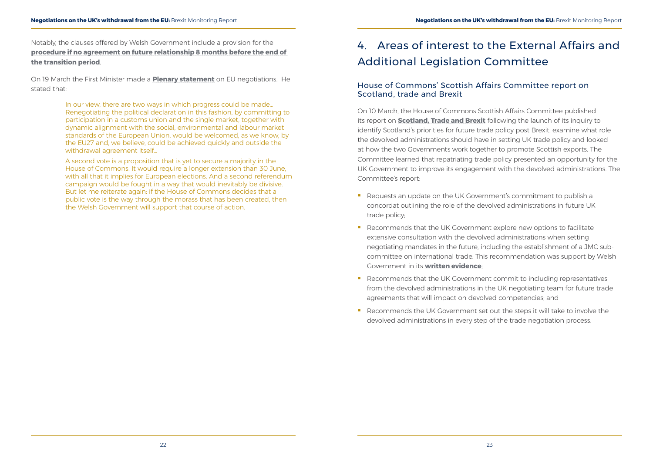<span id="page-13-0"></span>Notably, the clauses offered by Welsh Government include a provision for the **[procedure if no agreement on future relationship 8 months before the end of](https://beta.gov.wales/sites/default/files/inline-documents/2019-03/draft-clauses.pdf)  [the transition period](https://beta.gov.wales/sites/default/files/inline-documents/2019-03/draft-clauses.pdf)**.

On 19 March the First Minister made a **Plenary statement** on EU negotiations. He stated that:

> In our view, there are two ways in which progress could be made… Renegotiating the political declaration in this fashion, by committing to participation in a customs union and the single market, together with dynamic alignment with the social, environmental and labour market standards of the European Union, would be welcomed, as we know, by the EU27 and, we believe, could be achieved quickly and outside the withdrawal agreement itself…

A second vote is a proposition that is yet to secure a majority in the House of Commons. It would require a longer extension than 30 June, with all that it implies for European elections. And a second referendum campaign would be fought in a way that would inevitably be divisive. But let me reiterate again: if the House of Commons decides that a public vote is the way through the morass that has been created, then the Welsh Government will support that course of action.

# 4. Areas of interest to the External Affairs and Additional Legislation Committee

- Requests an update on the UK Government's commitment to publish a concordat outlining the role of the devolved administrations in future UK trade policy;
- Recommends that the UK Government explore new options to facilitate extensive consultation with the devolved administrations when setting negotiating mandates in the future, including the establishment of a JMC subcommittee on international trade. This recommendation was support by Welsh Government in its **[written evidence](http://data.parliament.uk/writtenevidence/committeeevidence.svc/evidencedocument/international-trade-committee/uk-trade-policy-transparency-and-scrutiny/written/85937.pdf)**;
- Recommends that the UK Government commit to including representatives from the devolved administrations in the UK negotiating team for future trade agreements that will impact on devolved competencies; and
- Recommends the UK Government set out the steps it will take to involve the devolved administrations in every step of the trade negotiation process.

### House of Commons' Scottish Affairs Committee report on Scotland, trade and Brexit

On 10 March, the House of Commons Scottish Affairs Committee published its report on **[Scotland, Trade and Brexit](https://publications.parliament.uk/pa/cm201719/cmselect/cmscotaf/903/90302.htm)** following the launch of its inquiry to identify Scotland's priorities for future trade policy post Brexit, examine what role the devolved administrations should have in setting UK trade policy and looked at how the two Governments work together to promote Scottish exports. The Committee learned that repatriating trade policy presented an opportunity for the UK Government to improve its engagement with the devolved administrations. The Committee's report: